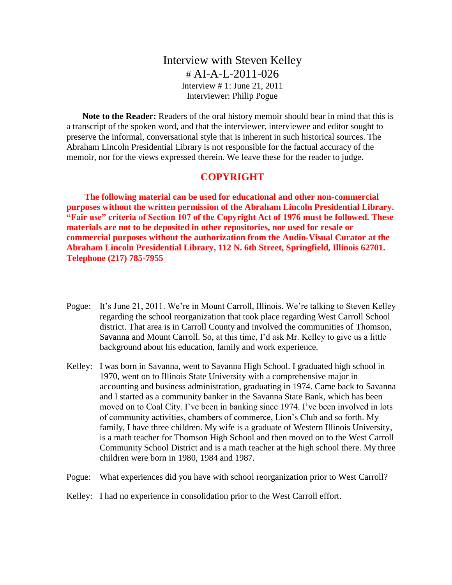# Interview with Steven Kelley  $\#$  AI-A-L-2011-026 Interview # 1: June 21, 2011 Interviewer: Philip Pogue

**Note to the Reader:** Readers of the oral history memoir should bear in mind that this is a transcript of the spoken word, and that the interviewer, interviewee and editor sought to preserve the informal, conversational style that is inherent in such historical sources. The Abraham Lincoln Presidential Library is not responsible for the factual accuracy of the memoir, nor for the views expressed therein. We leave these for the reader to judge.

## **COPYRIGHT**

**The following material can be used for educational and other non-commercial purposes without the written permission of the Abraham Lincoln Presidential Library. "Fair use" criteria of Section 107 of the Copyright Act of 1976 must be followed. These materials are not to be deposited in other repositories, nor used for resale or commercial purposes without the authorization from the Audio-Visual Curator at the Abraham Lincoln Presidential Library, 112 N. 6th Street, Springfield, Illinois 62701. Telephone (217) 785-7955**

- Pogue: It's June 21, 2011. We're in Mount Carroll, Illinois. We're talking to Steven Kelley regarding the school reorganization that took place regarding West Carroll School district. That area is in Carroll County and involved the communities of Thomson, Savanna and Mount Carroll. So, at this time, I'd ask Mr. Kelley to give us a little background about his education, family and work experience.
- Kelley: I was born in Savanna, went to Savanna High School. I graduated high school in 1970, went on to Illinois State University with a comprehensive major in accounting and business administration, graduating in 1974. Came back to Savanna and I started as a community banker in the Savanna State Bank, which has been moved on to Coal City. I've been in banking since 1974. I've been involved in lots of community activities, chambers of commerce, Lion's Club and so forth. My family, I have three children. My wife is a graduate of Western Illinois University, is a math teacher for Thomson High School and then moved on to the West Carroll Community School District and is a math teacher at the high school there. My three children were born in 1980, 1984 and 1987.
- Pogue: What experiences did you have with school reorganization prior to West Carroll?

#### Kelley: I had no experience in consolidation prior to the West Carroll effort.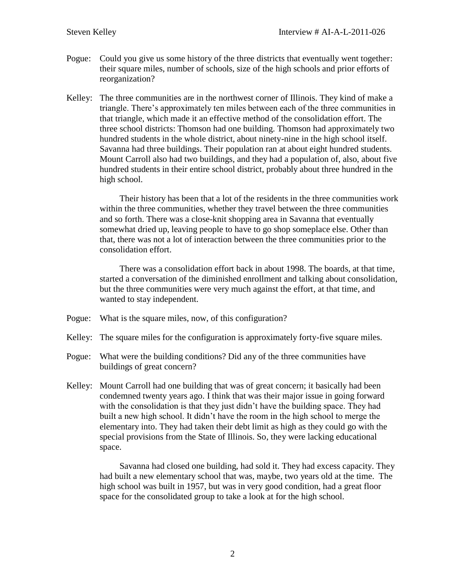- Pogue: Could you give us some history of the three districts that eventually went together: their square miles, number of schools, size of the high schools and prior efforts of reorganization?
- Kelley: The three communities are in the northwest corner of Illinois. They kind of make a triangle. There's approximately ten miles between each of the three communities in that triangle, which made it an effective method of the consolidation effort. The three school districts: Thomson had one building. Thomson had approximately two hundred students in the whole district, about ninety-nine in the high school itself. Savanna had three buildings. Their population ran at about eight hundred students. Mount Carroll also had two buildings, and they had a population of, also, about five hundred students in their entire school district, probably about three hundred in the high school.

Their history has been that a lot of the residents in the three communities work within the three communities, whether they travel between the three communities and so forth. There was a close-knit shopping area in Savanna that eventually somewhat dried up, leaving people to have to go shop someplace else. Other than that, there was not a lot of interaction between the three communities prior to the consolidation effort.

There was a consolidation effort back in about 1998. The boards, at that time, started a conversation of the diminished enrollment and talking about consolidation, but the three communities were very much against the effort, at that time, and wanted to stay independent.

- Pogue: What is the square miles, now, of this configuration?
- Kelley: The square miles for the configuration is approximately forty-five square miles.
- Pogue: What were the building conditions? Did any of the three communities have buildings of great concern?
- Kelley: Mount Carroll had one building that was of great concern; it basically had been condemned twenty years ago. I think that was their major issue in going forward with the consolidation is that they just didn't have the building space. They had built a new high school. It didn't have the room in the high school to merge the elementary into. They had taken their debt limit as high as they could go with the special provisions from the State of Illinois. So, they were lacking educational space.

Savanna had closed one building, had sold it. They had excess capacity. They had built a new elementary school that was, maybe, two years old at the time. The high school was built in 1957, but was in very good condition, had a great floor space for the consolidated group to take a look at for the high school.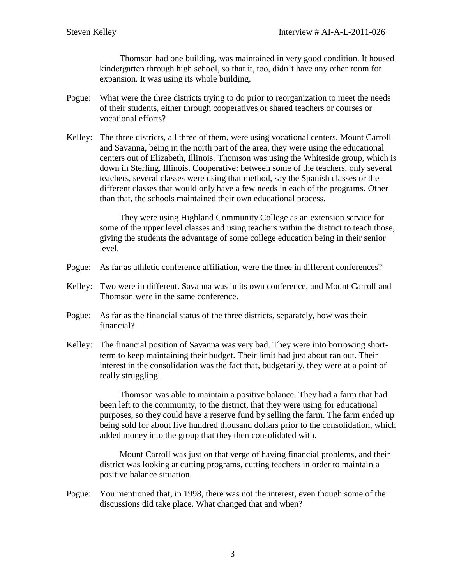Thomson had one building, was maintained in very good condition. It housed kindergarten through high school, so that it, too, didn't have any other room for expansion. It was using its whole building.

- Pogue: What were the three districts trying to do prior to reorganization to meet the needs of their students, either through cooperatives or shared teachers or courses or vocational efforts?
- Kelley: The three districts, all three of them, were using vocational centers. Mount Carroll and Savanna, being in the north part of the area, they were using the educational centers out of Elizabeth, Illinois. Thomson was using the Whiteside group, which is down in Sterling, Illinois. Cooperative: between some of the teachers, only several teachers, several classes were using that method, say the Spanish classes or the different classes that would only have a few needs in each of the programs. Other than that, the schools maintained their own educational process.

They were using Highland Community College as an extension service for some of the upper level classes and using teachers within the district to teach those, giving the students the advantage of some college education being in their senior level.

- Pogue: As far as athletic conference affiliation, were the three in different conferences?
- Kelley: Two were in different. Savanna was in its own conference, and Mount Carroll and Thomson were in the same conference.
- Pogue: As far as the financial status of the three districts, separately, how was their financial?
- Kelley: The financial position of Savanna was very bad. They were into borrowing shortterm to keep maintaining their budget. Their limit had just about ran out. Their interest in the consolidation was the fact that, budgetarily, they were at a point of really struggling.

Thomson was able to maintain a positive balance. They had a farm that had been left to the community, to the district, that they were using for educational purposes, so they could have a reserve fund by selling the farm. The farm ended up being sold for about five hundred thousand dollars prior to the consolidation, which added money into the group that they then consolidated with.

Mount Carroll was just on that verge of having financial problems, and their district was looking at cutting programs, cutting teachers in order to maintain a positive balance situation.

Pogue: You mentioned that, in 1998, there was not the interest, even though some of the discussions did take place. What changed that and when?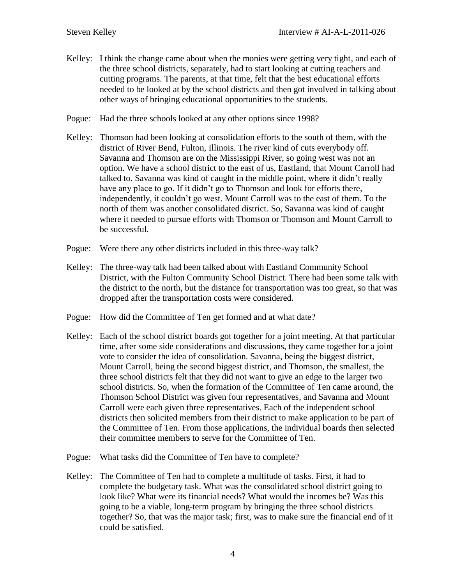Kelley: I think the change came about when the monies were getting very tight, and each of the three school districts, separately, had to start looking at cutting teachers and cutting programs. The parents, at that time, felt that the best educational efforts needed to be looked at by the school districts and then got involved in talking about other ways of bringing educational opportunities to the students.

Pogue: Had the three schools looked at any other options since 1998?

- Kelley: Thomson had been looking at consolidation efforts to the south of them, with the district of River Bend, Fulton, Illinois. The river kind of cuts everybody off. Savanna and Thomson are on the Mississippi River, so going west was not an option. We have a school district to the east of us, Eastland, that Mount Carroll had talked to. Savanna was kind of caught in the middle point, where it didn't really have any place to go. If it didn't go to Thomson and look for efforts there, independently, it couldn't go west. Mount Carroll was to the east of them. To the north of them was another consolidated district. So, Savanna was kind of caught where it needed to pursue efforts with Thomson or Thomson and Mount Carroll to be successful.
- Pogue: Were there any other districts included in this three-way talk?
- Kelley: The three-way talk had been talked about with Eastland Community School District, with the Fulton Community School District. There had been some talk with the district to the north, but the distance for transportation was too great, so that was dropped after the transportation costs were considered.
- Pogue: How did the Committee of Ten get formed and at what date?
- Kelley: Each of the school district boards got together for a joint meeting. At that particular time, after some side considerations and discussions, they came together for a joint vote to consider the idea of consolidation. Savanna, being the biggest district, Mount Carroll, being the second biggest district, and Thomson, the smallest, the three school districts felt that they did not want to give an edge to the larger two school districts. So, when the formation of the Committee of Ten came around, the Thomson School District was given four representatives, and Savanna and Mount Carroll were each given three representatives. Each of the independent school districts then solicited members from their district to make application to be part of the Committee of Ten. From those applications, the individual boards then selected their committee members to serve for the Committee of Ten.
- Pogue: What tasks did the Committee of Ten have to complete?
- Kelley: The Committee of Ten had to complete a multitude of tasks. First, it had to complete the budgetary task. What was the consolidated school district going to look like? What were its financial needs? What would the incomes be? Was this going to be a viable, long-term program by bringing the three school districts together? So, that was the major task; first, was to make sure the financial end of it could be satisfied.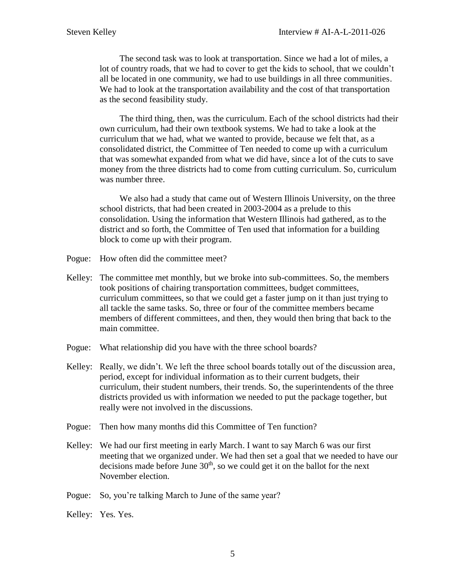The second task was to look at transportation. Since we had a lot of miles, a lot of country roads, that we had to cover to get the kids to school, that we couldn't all be located in one community, we had to use buildings in all three communities. We had to look at the transportation availability and the cost of that transportation as the second feasibility study.

The third thing, then, was the curriculum. Each of the school districts had their own curriculum, had their own textbook systems. We had to take a look at the curriculum that we had, what we wanted to provide, because we felt that, as a consolidated district, the Committee of Ten needed to come up with a curriculum that was somewhat expanded from what we did have, since a lot of the cuts to save money from the three districts had to come from cutting curriculum. So, curriculum was number three.

We also had a study that came out of Western Illinois University, on the three school districts, that had been created in 2003-2004 as a prelude to this consolidation. Using the information that Western Illinois had gathered, as to the district and so forth, the Committee of Ten used that information for a building block to come up with their program.

- Pogue: How often did the committee meet?
- Kelley: The committee met monthly, but we broke into sub-committees. So, the members took positions of chairing transportation committees, budget committees, curriculum committees, so that we could get a faster jump on it than just trying to all tackle the same tasks. So, three or four of the committee members became members of different committees, and then, they would then bring that back to the main committee.
- Pogue: What relationship did you have with the three school boards?
- Kelley: Really, we didn't. We left the three school boards totally out of the discussion area, period, except for individual information as to their current budgets, their curriculum, their student numbers, their trends. So, the superintendents of the three districts provided us with information we needed to put the package together, but really were not involved in the discussions.
- Pogue: Then how many months did this Committee of Ten function?
- Kelley: We had our first meeting in early March. I want to say March 6 was our first meeting that we organized under. We had then set a goal that we needed to have our decisions made before June  $30<sup>th</sup>$ , so we could get it on the ballot for the next November election.
- Pogue: So, you're talking March to June of the same year?
- Kelley: Yes. Yes.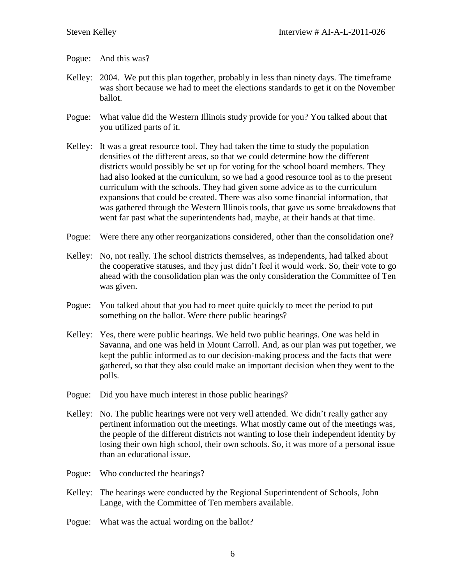#### Pogue: And this was?

- Kelley: 2004. We put this plan together, probably in less than ninety days. The timeframe was short because we had to meet the elections standards to get it on the November ballot.
- Pogue: What value did the Western Illinois study provide for you? You talked about that you utilized parts of it.
- Kelley: It was a great resource tool. They had taken the time to study the population densities of the different areas, so that we could determine how the different districts would possibly be set up for voting for the school board members. They had also looked at the curriculum, so we had a good resource tool as to the present curriculum with the schools. They had given some advice as to the curriculum expansions that could be created. There was also some financial information, that was gathered through the Western Illinois tools, that gave us some breakdowns that went far past what the superintendents had, maybe, at their hands at that time.
- Pogue: Were there any other reorganizations considered, other than the consolidation one?
- Kelley: No, not really. The school districts themselves, as independents, had talked about the cooperative statuses, and they just didn't feel it would work. So, their vote to go ahead with the consolidation plan was the only consideration the Committee of Ten was given.
- Pogue: You talked about that you had to meet quite quickly to meet the period to put something on the ballot. Were there public hearings?
- Kelley: Yes, there were public hearings. We held two public hearings. One was held in Savanna, and one was held in Mount Carroll. And, as our plan was put together, we kept the public informed as to our decision-making process and the facts that were gathered, so that they also could make an important decision when they went to the polls.
- Pogue: Did you have much interest in those public hearings?
- Kelley: No. The public hearings were not very well attended. We didn't really gather any pertinent information out the meetings. What mostly came out of the meetings was, the people of the different districts not wanting to lose their independent identity by losing their own high school, their own schools. So, it was more of a personal issue than an educational issue.
- Pogue: Who conducted the hearings?
- Kelley: The hearings were conducted by the Regional Superintendent of Schools, John Lange, with the Committee of Ten members available.
- Pogue: What was the actual wording on the ballot?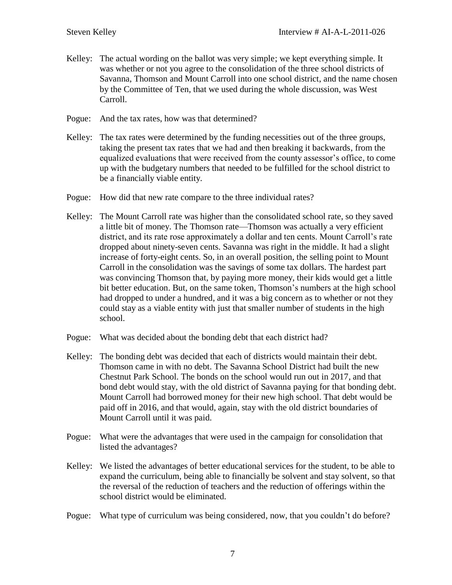- Kelley: The actual wording on the ballot was very simple; we kept everything simple. It was whether or not you agree to the consolidation of the three school districts of Savanna, Thomson and Mount Carroll into one school district, and the name chosen by the Committee of Ten, that we used during the whole discussion, was West Carroll.
- Pogue: And the tax rates, how was that determined?
- Kelley: The tax rates were determined by the funding necessities out of the three groups, taking the present tax rates that we had and then breaking it backwards, from the equalized evaluations that were received from the county assessor's office, to come up with the budgetary numbers that needed to be fulfilled for the school district to be a financially viable entity.
- Pogue: How did that new rate compare to the three individual rates?
- Kelley: The Mount Carroll rate was higher than the consolidated school rate, so they saved a little bit of money. The Thomson rate—Thomson was actually a very efficient district, and its rate rose approximately a dollar and ten cents. Mount Carroll's rate dropped about ninety-seven cents. Savanna was right in the middle. It had a slight increase of forty-eight cents. So, in an overall position, the selling point to Mount Carroll in the consolidation was the savings of some tax dollars. The hardest part was convincing Thomson that, by paying more money, their kids would get a little bit better education. But, on the same token, Thomson's numbers at the high school had dropped to under a hundred, and it was a big concern as to whether or not they could stay as a viable entity with just that smaller number of students in the high school.
- Pogue: What was decided about the bonding debt that each district had?
- Kelley: The bonding debt was decided that each of districts would maintain their debt. Thomson came in with no debt. The Savanna School District had built the new Chestnut Park School. The bonds on the school would run out in 2017, and that bond debt would stay, with the old district of Savanna paying for that bonding debt. Mount Carroll had borrowed money for their new high school. That debt would be paid off in 2016, and that would, again, stay with the old district boundaries of Mount Carroll until it was paid.
- Pogue: What were the advantages that were used in the campaign for consolidation that listed the advantages?
- Kelley: We listed the advantages of better educational services for the student, to be able to expand the curriculum, being able to financially be solvent and stay solvent, so that the reversal of the reduction of teachers and the reduction of offerings within the school district would be eliminated.
- Pogue: What type of curriculum was being considered, now, that you couldn't do before?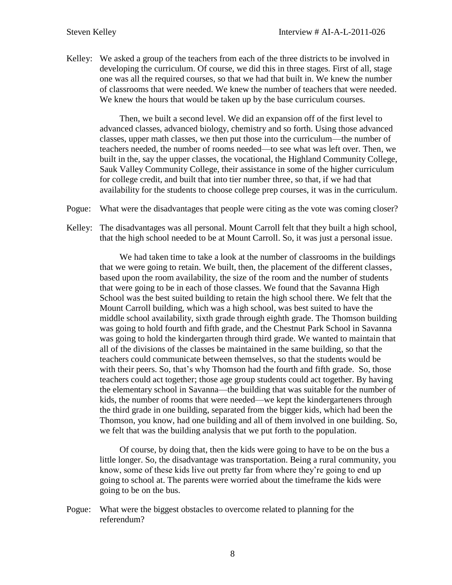Kelley: We asked a group of the teachers from each of the three districts to be involved in developing the curriculum. Of course, we did this in three stages. First of all, stage one was all the required courses, so that we had that built in. We knew the number of classrooms that were needed. We knew the number of teachers that were needed. We knew the hours that would be taken up by the base curriculum courses.

Then, we built a second level. We did an expansion off of the first level to advanced classes, advanced biology, chemistry and so forth. Using those advanced classes, upper math classes, we then put those into the curriculum—the number of teachers needed, the number of rooms needed—to see what was left over. Then, we built in the, say the upper classes, the vocational, the Highland Community College, Sauk Valley Community College, their assistance in some of the higher curriculum for college credit, and built that into tier number three, so that, if we had that availability for the students to choose college prep courses, it was in the curriculum.

- Pogue: What were the disadvantages that people were citing as the vote was coming closer?
- Kelley: The disadvantages was all personal. Mount Carroll felt that they built a high school, that the high school needed to be at Mount Carroll. So, it was just a personal issue.

We had taken time to take a look at the number of classrooms in the buildings that we were going to retain. We built, then, the placement of the different classes, based upon the room availability, the size of the room and the number of students that were going to be in each of those classes. We found that the Savanna High School was the best suited building to retain the high school there. We felt that the Mount Carroll building, which was a high school, was best suited to have the middle school availability, sixth grade through eighth grade. The Thomson building was going to hold fourth and fifth grade, and the Chestnut Park School in Savanna was going to hold the kindergarten through third grade. We wanted to maintain that all of the divisions of the classes be maintained in the same building, so that the teachers could communicate between themselves, so that the students would be with their peers. So, that's why Thomson had the fourth and fifth grade. So, those teachers could act together; those age group students could act together. By having the elementary school in Savanna—the building that was suitable for the number of kids, the number of rooms that were needed—we kept the kindergarteners through the third grade in one building, separated from the bigger kids, which had been the Thomson, you know, had one building and all of them involved in one building. So, we felt that was the building analysis that we put forth to the population.

Of course, by doing that, then the kids were going to have to be on the bus a little longer. So, the disadvantage was transportation. Being a rural community, you know, some of these kids live out pretty far from where they're going to end up going to school at. The parents were worried about the timeframe the kids were going to be on the bus.

Pogue: What were the biggest obstacles to overcome related to planning for the referendum?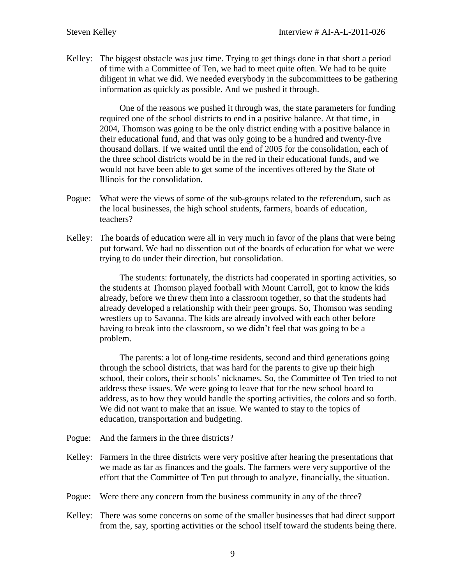Kelley: The biggest obstacle was just time. Trying to get things done in that short a period of time with a Committee of Ten, we had to meet quite often. We had to be quite diligent in what we did. We needed everybody in the subcommittees to be gathering information as quickly as possible. And we pushed it through.

One of the reasons we pushed it through was, the state parameters for funding required one of the school districts to end in a positive balance. At that time, in 2004, Thomson was going to be the only district ending with a positive balance in their educational fund, and that was only going to be a hundred and twenty-five thousand dollars. If we waited until the end of 2005 for the consolidation, each of the three school districts would be in the red in their educational funds, and we would not have been able to get some of the incentives offered by the State of Illinois for the consolidation.

- Pogue: What were the views of some of the sub-groups related to the referendum, such as the local businesses, the high school students, farmers, boards of education, teachers?
- Kelley: The boards of education were all in very much in favor of the plans that were being put forward. We had no dissention out of the boards of education for what we were trying to do under their direction, but consolidation.

The students: fortunately, the districts had cooperated in sporting activities, so the students at Thomson played football with Mount Carroll, got to know the kids already, before we threw them into a classroom together, so that the students had already developed a relationship with their peer groups. So, Thomson was sending wrestlers up to Savanna. The kids are already involved with each other before having to break into the classroom, so we didn't feel that was going to be a problem.

The parents: a lot of long-time residents, second and third generations going through the school districts, that was hard for the parents to give up their high school, their colors, their schools' nicknames. So, the Committee of Ten tried to not address these issues. We were going to leave that for the new school board to address, as to how they would handle the sporting activities, the colors and so forth. We did not want to make that an issue. We wanted to stay to the topics of education, transportation and budgeting.

- Pogue: And the farmers in the three districts?
- Kelley: Farmers in the three districts were very positive after hearing the presentations that we made as far as finances and the goals. The farmers were very supportive of the effort that the Committee of Ten put through to analyze, financially, the situation.
- Pogue: Were there any concern from the business community in any of the three?
- Kelley: There was some concerns on some of the smaller businesses that had direct support from the, say, sporting activities or the school itself toward the students being there.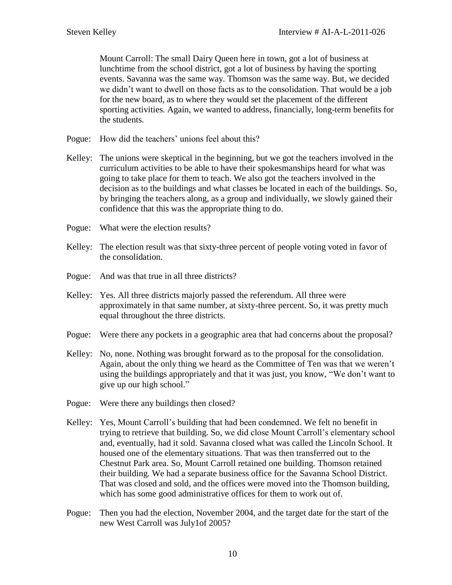Mount Carroll: The small Dairy Queen here in town, got a lot of business at lunchtime from the school district, got a lot of business by having the sporting events. Savanna was the same way. Thomson was the same way. But, we decided we didn't want to dwell on those facts as to the consolidation. That would be a job for the new board, as to where they would set the placement of the different sporting activities. Again, we wanted to address, financially, long-term benefits for the students.

- Pogue: How did the teachers' unions feel about this?
- Kelley: The unions were skeptical in the beginning, but we got the teachers involved in the curriculum activities to be able to have their spokesmanships heard for what was going to take place for them to teach. We also got the teachers involved in the decision as to the buildings and what classes be located in each of the buildings. So, by bringing the teachers along, as a group and individually, we slowly gained their confidence that this was the appropriate thing to do.
- Pogue: What were the election results?
- Kelley: The election result was that sixty-three percent of people voting voted in favor of the consolidation.
- Pogue: And was that true in all three districts?
- Kelley: Yes. All three districts majorly passed the referendum. All three were approximately in that same number, at sixty-three percent. So, it was pretty much equal throughout the three districts.
- Pogue: Were there any pockets in a geographic area that had concerns about the proposal?
- Kelley: No, none. Nothing was brought forward as to the proposal for the consolidation. Again, about the only thing we heard as the Committee of Ten was that we weren't using the buildings appropriately and that it was just, you know, "We don't want to give up our high school."
- Pogue: Were there any buildings then closed?
- Kelley: Yes, Mount Carroll's building that had been condemned. We felt no benefit in trying to retrieve that building. So, we did close Mount Carroll's elementary school and, eventually, had it sold. Savanna closed what was called the Lincoln School. It housed one of the elementary situations. That was then transferred out to the Chestnut Park area. So, Mount Carroll retained one building. Thomson retained their building. We had a separate business office for the Savanna School District. That was closed and sold, and the offices were moved into the Thomson building, which has some good administrative offices for them to work out of.
- Pogue: Then you had the election, November 2004, and the target date for the start of the new West Carroll was July1of 2005?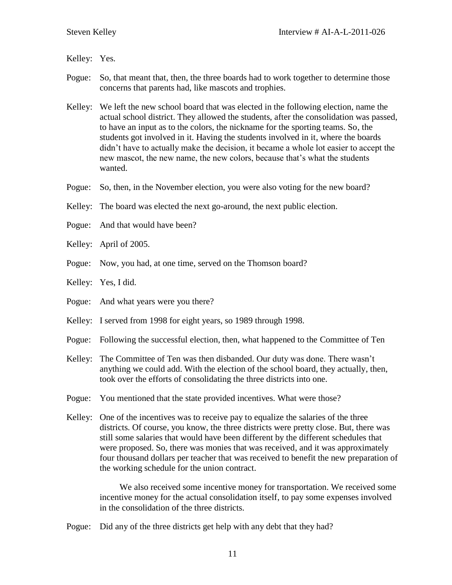Kelley: Yes.

- Pogue: So, that meant that, then, the three boards had to work together to determine those concerns that parents had, like mascots and trophies.
- Kelley: We left the new school board that was elected in the following election, name the actual school district. They allowed the students, after the consolidation was passed, to have an input as to the colors, the nickname for the sporting teams. So, the students got involved in it. Having the students involved in it, where the boards didn't have to actually make the decision, it became a whole lot easier to accept the new mascot, the new name, the new colors, because that's what the students wanted.
- Pogue: So, then, in the November election, you were also voting for the new board?
- Kelley: The board was elected the next go-around, the next public election.
- Pogue: And that would have been?
- Kelley: April of 2005.
- Pogue: Now, you had, at one time, served on the Thomson board?
- Kelley: Yes, I did.
- Pogue: And what years were you there?
- Kelley: I served from 1998 for eight years, so 1989 through 1998.
- Pogue: Following the successful election, then, what happened to the Committee of Ten
- Kelley: The Committee of Ten was then disbanded. Our duty was done. There wasn't anything we could add. With the election of the school board, they actually, then, took over the efforts of consolidating the three districts into one.
- Pogue: You mentioned that the state provided incentives. What were those?
- Kelley: One of the incentives was to receive pay to equalize the salaries of the three districts. Of course, you know, the three districts were pretty close. But, there was still some salaries that would have been different by the different schedules that were proposed. So, there was monies that was received, and it was approximately four thousand dollars per teacher that was received to benefit the new preparation of the working schedule for the union contract.

We also received some incentive money for transportation. We received some incentive money for the actual consolidation itself, to pay some expenses involved in the consolidation of the three districts.

Pogue: Did any of the three districts get help with any debt that they had?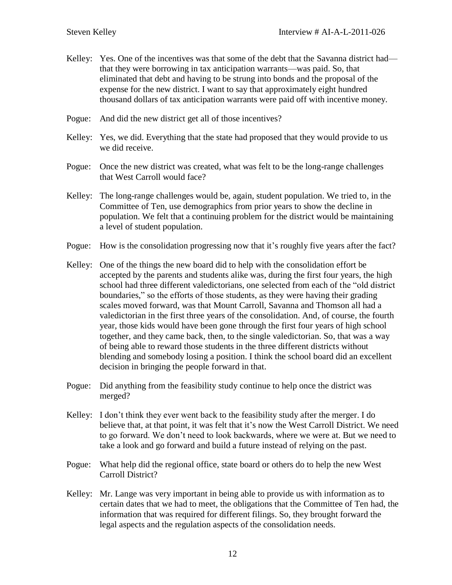- Kelley: Yes. One of the incentives was that some of the debt that the Savanna district had that they were borrowing in tax anticipation warrants—was paid. So, that eliminated that debt and having to be strung into bonds and the proposal of the expense for the new district. I want to say that approximately eight hundred thousand dollars of tax anticipation warrants were paid off with incentive money.
- Pogue: And did the new district get all of those incentives?
- Kelley: Yes, we did. Everything that the state had proposed that they would provide to us we did receive.
- Pogue: Once the new district was created, what was felt to be the long-range challenges that West Carroll would face?
- Kelley: The long-range challenges would be, again, student population. We tried to, in the Committee of Ten, use demographics from prior years to show the decline in population. We felt that a continuing problem for the district would be maintaining a level of student population.
- Pogue: How is the consolidation progressing now that it's roughly five years after the fact?
- Kelley: One of the things the new board did to help with the consolidation effort be accepted by the parents and students alike was, during the first four years, the high school had three different valedictorians, one selected from each of the "old district boundaries," so the efforts of those students, as they were having their grading scales moved forward, was that Mount Carroll, Savanna and Thomson all had a valedictorian in the first three years of the consolidation. And, of course, the fourth year, those kids would have been gone through the first four years of high school together, and they came back, then, to the single valedictorian. So, that was a way of being able to reward those students in the three different districts without blending and somebody losing a position. I think the school board did an excellent decision in bringing the people forward in that.
- Pogue: Did anything from the feasibility study continue to help once the district was merged?
- Kelley: I don't think they ever went back to the feasibility study after the merger. I do believe that, at that point, it was felt that it's now the West Carroll District. We need to go forward. We don't need to look backwards, where we were at. But we need to take a look and go forward and build a future instead of relying on the past.
- Pogue: What help did the regional office, state board or others do to help the new West Carroll District?
- Kelley: Mr. Lange was very important in being able to provide us with information as to certain dates that we had to meet, the obligations that the Committee of Ten had, the information that was required for different filings. So, they brought forward the legal aspects and the regulation aspects of the consolidation needs.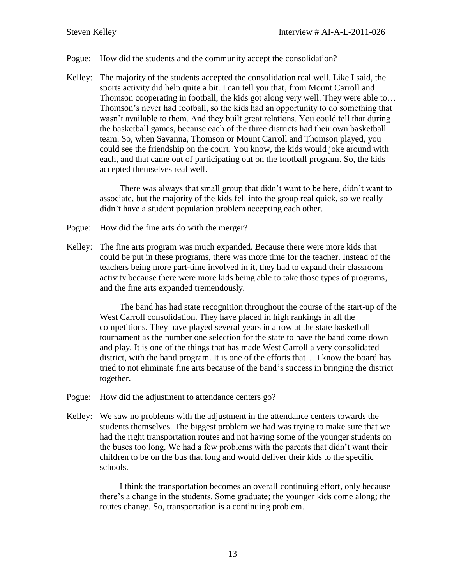### Pogue: How did the students and the community accept the consolidation?

Kelley: The majority of the students accepted the consolidation real well. Like I said, the sports activity did help quite a bit. I can tell you that, from Mount Carroll and Thomson cooperating in football, the kids got along very well. They were able to… Thomson's never had football, so the kids had an opportunity to do something that wasn't available to them. And they built great relations. You could tell that during the basketball games, because each of the three districts had their own basketball team. So, when Savanna, Thomson or Mount Carroll and Thomson played, you could see the friendship on the court. You know, the kids would joke around with each, and that came out of participating out on the football program. So, the kids accepted themselves real well.

There was always that small group that didn't want to be here, didn't want to associate, but the majority of the kids fell into the group real quick, so we really didn't have a student population problem accepting each other.

- Pogue: How did the fine arts do with the merger?
- Kelley: The fine arts program was much expanded. Because there were more kids that could be put in these programs, there was more time for the teacher. Instead of the teachers being more part-time involved in it, they had to expand their classroom activity because there were more kids being able to take those types of programs, and the fine arts expanded tremendously.

The band has had state recognition throughout the course of the start-up of the West Carroll consolidation. They have placed in high rankings in all the competitions. They have played several years in a row at the state basketball tournament as the number one selection for the state to have the band come down and play. It is one of the things that has made West Carroll a very consolidated district, with the band program. It is one of the efforts that… I know the board has tried to not eliminate fine arts because of the band's success in bringing the district together.

- Pogue: How did the adjustment to attendance centers go?
- Kelley: We saw no problems with the adjustment in the attendance centers towards the students themselves. The biggest problem we had was trying to make sure that we had the right transportation routes and not having some of the younger students on the buses too long. We had a few problems with the parents that didn't want their children to be on the bus that long and would deliver their kids to the specific schools.

I think the transportation becomes an overall continuing effort, only because there's a change in the students. Some graduate; the younger kids come along; the routes change. So, transportation is a continuing problem.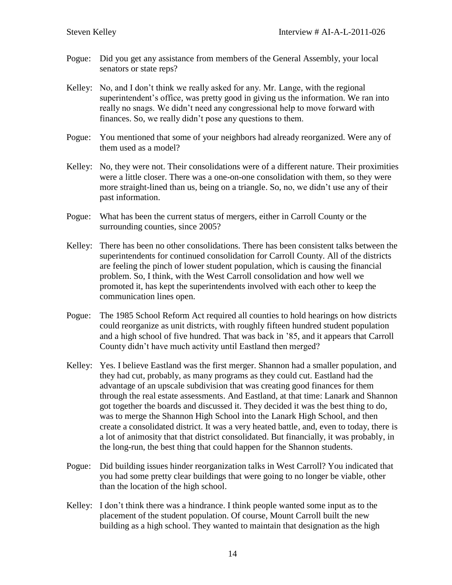- Pogue: Did you get any assistance from members of the General Assembly, your local senators or state reps?
- Kelley: No, and I don't think we really asked for any. Mr. Lange, with the regional superintendent's office, was pretty good in giving us the information. We ran into really no snags. We didn't need any congressional help to move forward with finances. So, we really didn't pose any questions to them.
- Pogue: You mentioned that some of your neighbors had already reorganized. Were any of them used as a model?
- Kelley: No, they were not. Their consolidations were of a different nature. Their proximities were a little closer. There was a one-on-one consolidation with them, so they were more straight-lined than us, being on a triangle. So, no, we didn't use any of their past information.
- Pogue: What has been the current status of mergers, either in Carroll County or the surrounding counties, since 2005?
- Kelley: There has been no other consolidations. There has been consistent talks between the superintendents for continued consolidation for Carroll County. All of the districts are feeling the pinch of lower student population, which is causing the financial problem. So, I think, with the West Carroll consolidation and how well we promoted it, has kept the superintendents involved with each other to keep the communication lines open.
- Pogue: The 1985 School Reform Act required all counties to hold hearings on how districts could reorganize as unit districts, with roughly fifteen hundred student population and a high school of five hundred. That was back in '85, and it appears that Carroll County didn't have much activity until Eastland then merged?
- Kelley: Yes. I believe Eastland was the first merger. Shannon had a smaller population, and they had cut, probably, as many programs as they could cut. Eastland had the advantage of an upscale subdivision that was creating good finances for them through the real estate assessments. And Eastland, at that time: Lanark and Shannon got together the boards and discussed it. They decided it was the best thing to do, was to merge the Shannon High School into the Lanark High School, and then create a consolidated district. It was a very heated battle, and, even to today, there is a lot of animosity that that district consolidated. But financially, it was probably, in the long-run, the best thing that could happen for the Shannon students.
- Pogue: Did building issues hinder reorganization talks in West Carroll? You indicated that you had some pretty clear buildings that were going to no longer be viable, other than the location of the high school.
- Kelley: I don't think there was a hindrance. I think people wanted some input as to the placement of the student population. Of course, Mount Carroll built the new building as a high school. They wanted to maintain that designation as the high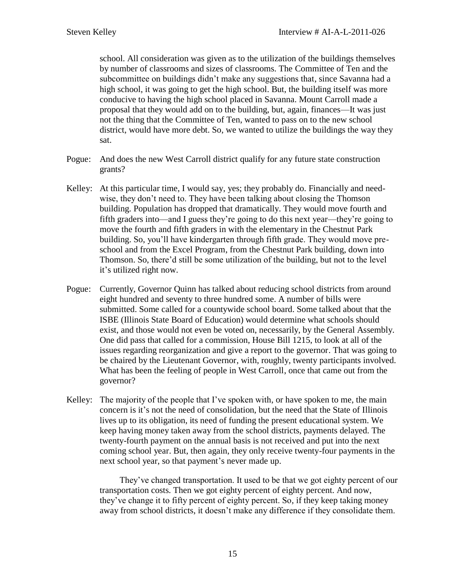school. All consideration was given as to the utilization of the buildings themselves by number of classrooms and sizes of classrooms. The Committee of Ten and the subcommittee on buildings didn't make any suggestions that, since Savanna had a high school, it was going to get the high school. But, the building itself was more conducive to having the high school placed in Savanna. Mount Carroll made a proposal that they would add on to the building, but, again, finances—It was just not the thing that the Committee of Ten, wanted to pass on to the new school district, would have more debt. So, we wanted to utilize the buildings the way they sat.

- Pogue: And does the new West Carroll district qualify for any future state construction grants?
- Kelley: At this particular time, I would say, yes; they probably do. Financially and needwise, they don't need to. They have been talking about closing the Thomson building. Population has dropped that dramatically. They would move fourth and fifth graders into—and I guess they're going to do this next year—they're going to move the fourth and fifth graders in with the elementary in the Chestnut Park building. So, you'll have kindergarten through fifth grade. They would move preschool and from the Excel Program, from the Chestnut Park building, down into Thomson. So, there'd still be some utilization of the building, but not to the level it's utilized right now.
- Pogue: Currently, Governor Quinn has talked about reducing school districts from around eight hundred and seventy to three hundred some. A number of bills were submitted. Some called for a countywide school board. Some talked about that the ISBE (Illinois State Board of Education) would determine what schools should exist, and those would not even be voted on, necessarily, by the General Assembly. One did pass that called for a commission, House Bill 1215, to look at all of the issues regarding reorganization and give a report to the governor. That was going to be chaired by the Lieutenant Governor, with, roughly, twenty participants involved. What has been the feeling of people in West Carroll, once that came out from the governor?
- Kelley: The majority of the people that I've spoken with, or have spoken to me, the main concern is it's not the need of consolidation, but the need that the State of Illinois lives up to its obligation, its need of funding the present educational system. We keep having money taken away from the school districts, payments delayed. The twenty-fourth payment on the annual basis is not received and put into the next coming school year. But, then again, they only receive twenty-four payments in the next school year, so that payment's never made up.

They've changed transportation. It used to be that we got eighty percent of our transportation costs. Then we got eighty percent of eighty percent. And now, they've change it to fifty percent of eighty percent. So, if they keep taking money away from school districts, it doesn't make any difference if they consolidate them.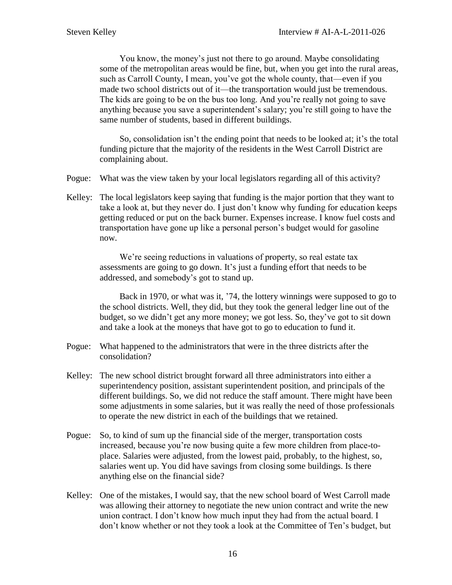You know, the money's just not there to go around. Maybe consolidating some of the metropolitan areas would be fine, but, when you get into the rural areas, such as Carroll County, I mean, you've got the whole county, that—even if you made two school districts out of it—the transportation would just be tremendous. The kids are going to be on the bus too long. And you're really not going to save anything because you save a superintendent's salary; you're still going to have the same number of students, based in different buildings.

So, consolidation isn't the ending point that needs to be looked at; it's the total funding picture that the majority of the residents in the West Carroll District are complaining about.

- Pogue: What was the view taken by your local legislators regarding all of this activity?
- Kelley: The local legislators keep saying that funding is the major portion that they want to take a look at, but they never do. I just don't know why funding for education keeps getting reduced or put on the back burner. Expenses increase. I know fuel costs and transportation have gone up like a personal person's budget would for gasoline now.

We're seeing reductions in valuations of property, so real estate tax assessments are going to go down. It's just a funding effort that needs to be addressed, and somebody's got to stand up.

Back in 1970, or what was it, '74, the lottery winnings were supposed to go to the school districts. Well, they did, but they took the general ledger line out of the budget, so we didn't get any more money; we got less. So, they've got to sit down and take a look at the moneys that have got to go to education to fund it.

- Pogue: What happened to the administrators that were in the three districts after the consolidation?
- Kelley: The new school district brought forward all three administrators into either a superintendency position, assistant superintendent position, and principals of the different buildings. So, we did not reduce the staff amount. There might have been some adjustments in some salaries, but it was really the need of those professionals to operate the new district in each of the buildings that we retained.
- Pogue: So, to kind of sum up the financial side of the merger, transportation costs increased, because you're now busing quite a few more children from place-toplace. Salaries were adjusted, from the lowest paid, probably, to the highest, so, salaries went up. You did have savings from closing some buildings. Is there anything else on the financial side?
- Kelley: One of the mistakes, I would say, that the new school board of West Carroll made was allowing their attorney to negotiate the new union contract and write the new union contract. I don't know how much input they had from the actual board. I don't know whether or not they took a look at the Committee of Ten's budget, but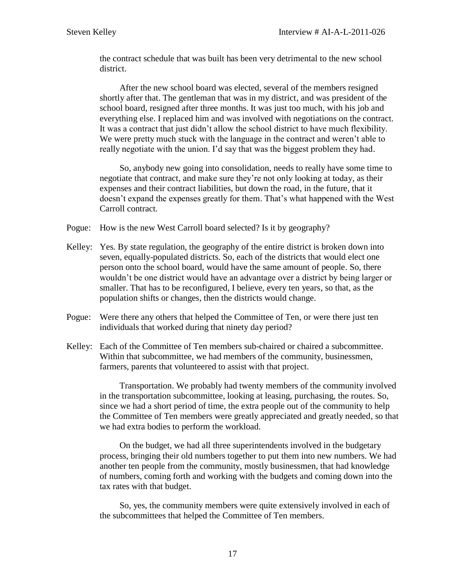the contract schedule that was built has been very detrimental to the new school district.

After the new school board was elected, several of the members resigned shortly after that. The gentleman that was in my district, and was president of the school board, resigned after three months. It was just too much, with his job and everything else. I replaced him and was involved with negotiations on the contract. It was a contract that just didn't allow the school district to have much flexibility. We were pretty much stuck with the language in the contract and weren't able to really negotiate with the union. I'd say that was the biggest problem they had.

So, anybody new going into consolidation, needs to really have some time to negotiate that contract, and make sure they're not only looking at today, as their expenses and their contract liabilities, but down the road, in the future, that it doesn't expand the expenses greatly for them. That's what happened with the West Carroll contract.

Pogue: How is the new West Carroll board selected? Is it by geography?

- Kelley: Yes. By state regulation, the geography of the entire district is broken down into seven, equally-populated districts. So, each of the districts that would elect one person onto the school board, would have the same amount of people. So, there wouldn't be one district would have an advantage over a district by being larger or smaller. That has to be reconfigured, I believe, every ten years, so that, as the population shifts or changes, then the districts would change.
- Pogue: Were there any others that helped the Committee of Ten, or were there just ten individuals that worked during that ninety day period?
- Kelley: Each of the Committee of Ten members sub-chaired or chaired a subcommittee. Within that subcommittee, we had members of the community, businessmen, farmers, parents that volunteered to assist with that project.

Transportation. We probably had twenty members of the community involved in the transportation subcommittee, looking at leasing, purchasing, the routes. So, since we had a short period of time, the extra people out of the community to help the Committee of Ten members were greatly appreciated and greatly needed, so that we had extra bodies to perform the workload.

On the budget, we had all three superintendents involved in the budgetary process, bringing their old numbers together to put them into new numbers. We had another ten people from the community, mostly businessmen, that had knowledge of numbers, coming forth and working with the budgets and coming down into the tax rates with that budget.

So, yes, the community members were quite extensively involved in each of the subcommittees that helped the Committee of Ten members.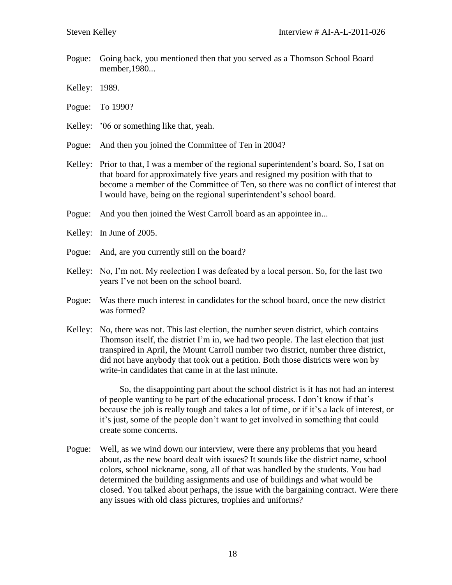- Pogue: Going back, you mentioned then that you served as a Thomson School Board member,1980...
- Kelley: 1989.
- Pogue: To 1990?
- Kelley: '06 or something like that, yeah.
- Pogue: And then you joined the Committee of Ten in 2004?
- Kelley: Prior to that, I was a member of the regional superintendent's board. So, I sat on that board for approximately five years and resigned my position with that to become a member of the Committee of Ten, so there was no conflict of interest that I would have, being on the regional superintendent's school board.
- Pogue: And you then joined the West Carroll board as an appointee in...
- Kelley: In June of 2005.
- Pogue: And, are you currently still on the board?
- Kelley: No, I'm not. My reelection I was defeated by a local person. So, for the last two years I've not been on the school board.
- Pogue: Was there much interest in candidates for the school board, once the new district was formed?
- Kelley: No, there was not. This last election, the number seven district, which contains Thomson itself, the district I'm in, we had two people. The last election that just transpired in April, the Mount Carroll number two district, number three district, did not have anybody that took out a petition. Both those districts were won by write-in candidates that came in at the last minute.

So, the disappointing part about the school district is it has not had an interest of people wanting to be part of the educational process. I don't know if that's because the job is really tough and takes a lot of time, or if it's a lack of interest, or it's just, some of the people don't want to get involved in something that could create some concerns.

Pogue: Well, as we wind down our interview, were there any problems that you heard about, as the new board dealt with issues? It sounds like the district name, school colors, school nickname, song, all of that was handled by the students. You had determined the building assignments and use of buildings and what would be closed. You talked about perhaps, the issue with the bargaining contract. Were there any issues with old class pictures, trophies and uniforms?